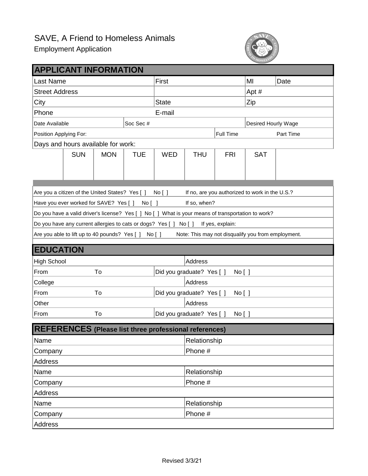## Employment Application



| <b>APPLICANT INFORMATION</b>                                                                               |                                           |                                           |            |              |              |                     |            |           |  |
|------------------------------------------------------------------------------------------------------------|-------------------------------------------|-------------------------------------------|------------|--------------|--------------|---------------------|------------|-----------|--|
| Last Name                                                                                                  |                                           |                                           |            | First        |              |                     | MI         | Date      |  |
| <b>Street Address</b>                                                                                      |                                           |                                           |            |              |              |                     | Apt #      |           |  |
| City                                                                                                       |                                           |                                           |            | <b>State</b> |              |                     | Zip        |           |  |
| Phone                                                                                                      |                                           |                                           |            | E-mail       |              |                     |            |           |  |
| Soc Sec#<br>Date Available                                                                                 |                                           |                                           |            |              |              | Desired Hourly Wage |            |           |  |
| Position Applying For:                                                                                     |                                           |                                           |            |              |              | <b>Full Time</b>    |            | Part Time |  |
| Days and hours available for work:                                                                         |                                           |                                           |            |              |              |                     |            |           |  |
|                                                                                                            | <b>SUN</b>                                | <b>MON</b>                                | <b>TUE</b> | <b>WED</b>   | <b>THU</b>   | <b>FRI</b>          | <b>SAT</b> |           |  |
|                                                                                                            |                                           |                                           |            |              |              |                     |            |           |  |
|                                                                                                            |                                           |                                           |            |              |              |                     |            |           |  |
| Are you a citizen of the United States? Yes []<br>If no, are you authorized to work in the U.S.?<br>No [ ] |                                           |                                           |            |              |              |                     |            |           |  |
| Have you ever worked for SAVE? Yes [ ]<br>If so, when?<br>No [ ]                                           |                                           |                                           |            |              |              |                     |            |           |  |
| Do you have a valid driver's license? Yes [ ] No [ ] What is your means of transportation to work?         |                                           |                                           |            |              |              |                     |            |           |  |
| Do you have any current allergies to cats or dogs? Yes [ ] No [ ]<br>If yes, explain:                      |                                           |                                           |            |              |              |                     |            |           |  |
| Are you able to lift up to 40 pounds? Yes [ ] No [ ]<br>Note: This may not disqualify you from employment. |                                           |                                           |            |              |              |                     |            |           |  |
|                                                                                                            |                                           |                                           |            |              |              |                     |            |           |  |
| <b>EDUCATION</b>                                                                                           |                                           |                                           |            |              |              |                     |            |           |  |
| <b>High School</b>                                                                                         |                                           |                                           |            | Address      |              |                     |            |           |  |
| From                                                                                                       |                                           | To<br>Did you graduate? Yes [ ]           |            |              |              | No [ ]              |            |           |  |
| College                                                                                                    |                                           |                                           |            |              |              | Address             |            |           |  |
| From                                                                                                       |                                           | To<br>Did you graduate? Yes [ ]<br>No [ ] |            |              |              |                     |            |           |  |
| Other                                                                                                      |                                           | <b>Address</b>                            |            |              |              |                     |            |           |  |
| From                                                                                                       | Did you graduate? Yes [ ]<br>To<br>No [ ] |                                           |            |              |              |                     |            |           |  |
| REFERENCES (Please list three professional references)                                                     |                                           |                                           |            |              |              |                     |            |           |  |
| Name                                                                                                       |                                           |                                           |            |              | Relationship |                     |            |           |  |
| Company                                                                                                    |                                           |                                           |            |              | Phone #      |                     |            |           |  |
| <b>Address</b>                                                                                             |                                           |                                           |            |              |              |                     |            |           |  |
| Name                                                                                                       |                                           |                                           |            |              | Relationship |                     |            |           |  |
| Company                                                                                                    |                                           |                                           |            |              | Phone #      |                     |            |           |  |
| Address                                                                                                    |                                           |                                           |            |              |              |                     |            |           |  |
| Name                                                                                                       |                                           |                                           |            |              | Relationship |                     |            |           |  |
| Company                                                                                                    |                                           |                                           |            |              | Phone #      |                     |            |           |  |
| Address                                                                                                    |                                           |                                           |            |              |              |                     |            |           |  |